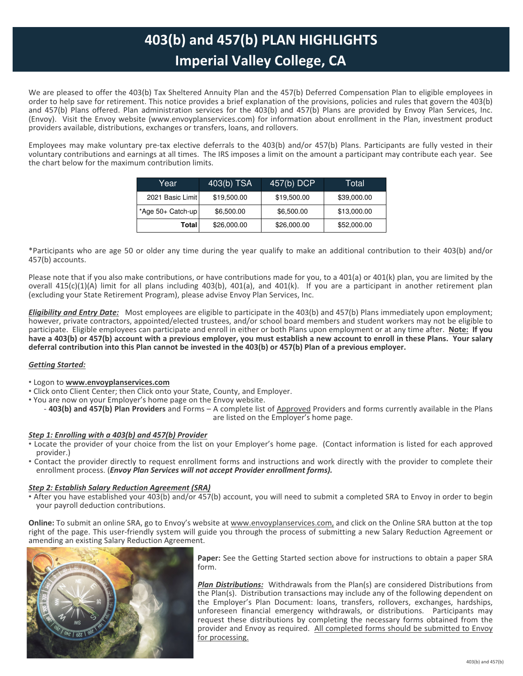## **Imperial Valley College, CA 403(b) and 457(b) PLAN HIGHLIGHTS**

We are pleased to offer the 403(b) Tax Sheltered Annuity Plan and the 457(b) Deferred Compensation Plan to eligible employees in order to help save for retirement. This notice provides a brief explanation of the provisions, policies and rules that govern the 403(b) and 457(b) Plans offered. Plan administration services for the 403(b) and 457(b) Plans are provided by Envoy Plan Services, Inc. (Envoy). Visit the Envoy website (www.envoyplanservices.com) for information about enrollment in the Plan, investment product providers available, distributions, exchanges or transfers, loans, and rollovers.

Employees may make voluntary pre-tax elective deferrals to the 403(b) and/or 457(b) Plans. Participants are fully vested in their voluntary contributions and earnings at all times. The IRS imposes a limit on the amount a participant may contribute each year. See the chart below for the maximum contribution limits.

| Year                 | $403(b)$ TSA | 457(b) DCP  | Total       |
|----------------------|--------------|-------------|-------------|
| 2021 Basic Limit     | \$19,500.00  | \$19,500.00 | \$39,000.00 |
| $*$ Age 50+ Catch-up | \$6,500.00   | \$6,500.00  | \$13,000.00 |
| Total                | \$26,000.00  | \$26,000.00 | \$52,000.00 |

\*Participants who are age 50 or older any time during the year qualify to make an additional contribution to their 403(b) and/or 457(b) accounts.

Please note that if you also make contributions, or have contributions made for you, to a 401(a) or 401(k) plan, you are limited by the overall 415(c)(1)(A) limit for all plans including 403(b), 401(a), and 401(k). If you are a participant in another retirement plan (excluding your State Retirement Program), please advise Envoy Plan Services, Inc.

*Eligibility and Entry Date:* Most employees are eligible to participate in the 403(b) and 457(b) Plans immediately upon employment; however, private contractors, appointed/elected trustees, and/or school board members and student workers may not be eligible to participate. Eligible employees can participate and enroll in either or both Plans upon employment or at any time after. **Note: If you have a 403(b) or 457(b) account with a previous employer, you must establish a new account to enroll in these Plans. Your salary deferral contribution into this Plan cannot be invested in the 403(b) or 457(b) Plan of a previous employer.**

## *Getting Started:*

- Logon to **www.envoyplanservices.com**
- Click onto Client Center; then Click onto your State, County, and Employer.
- You are now on your Employer's home page on the Envoy website.
	- **403(b) and 457(b) Plan Providers** and Forms A complete list of Approved Providers and forms currently available in the Plans are listed on the Employer's home page.

## *Step 1: Enrolling with a 403(b) and 457(b) Provider*

- Locate the provider of your choice from the list on your Employer's home page. (Contact information is listed for each approved provider.)
- Contact the provider directly to request enrollment forms and instructions and work directly with the provider to complete their enrollment process. (*Envoy Plan Services will not accept Provider enrollment forms).*

## *Step 2: Establish Salary Reduction Agreement (SRA)*

• After you have established your 403(b) and/or 457(b) account, you will need to submit a completed SRA to Envoy in order to begin your payroll deduction contributions.

**Online:** To submit an online SRA, go to Envoy's website at www.envoyplanservices.com, and click on the Online SRA button at the top right of the page. This user-friendly system will guide you through the process of submitting a new Salary Reduction Agreement or amending an existing Salary Reduction Agreement.



**Paper:** See the Getting Started section above for instructions to obtain a paper SRA form.

*Plan Distributions:* Withdrawals from the Plan(s) are considered Distributions from the Plan(s). Distribution transactions may include any of the following dependent on the Employer's Plan Document: loans, transfers, rollovers, exchanges, hardships, unforeseen financial emergency withdrawals, or distributions. Participants may request these distributions by completing the necessary forms obtained from the provider and Envoy as required. All completed forms should be submitted to Envoy for processing.